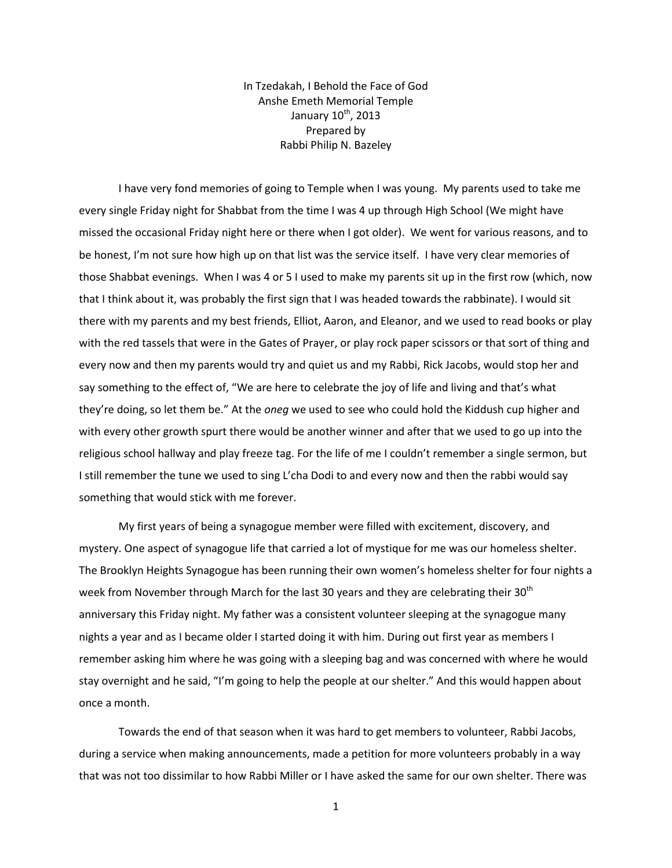In Tzedakah, I Behold the Face of God Anshe Emeth Memorial Temple January 10<sup>th</sup>, 2013 Prepared by Rabbi Philip N. Bazeley

I have very fond memories of going to Temple when I was young. My parents used to take me every single Friday night for Shabbat from the time I was 4 up through High School (We might have missed the occasional Friday night here or there when I got older). We went for various reasons, and to be honest, I'm not sure how high up on that list was the service itself. I have very clear memories of those Shabbat evenings. When I was 4 or 5 I used to make my parents sit up in the first row (which, now that I think about it, was probably the first sign that I was headed towards the rabbinate). I would sit there with my parents and my best friends, Elliot, Aaron, and Eleanor, and we used to read books or play with the red tassels that were in the Gates of Prayer, or play rock paper scissors or that sort of thing and every now and then my parents would try and quiet us and my Rabbi, Rick Jacobs, would stop her and say something to the effect of, "We are here to celebrate the joy of life and living and that's what they're doing, so let them be." At the *oneg* we used to see who could hold the Kiddush cup higher and with every other growth spurt there would be another winner and after that we used to go up into the religious school hallway and play freeze tag. For the life of me I couldn't remember a single sermon, but I still remember the tune we used to sing L'cha Dodi to and every now and then the rabbi would say something that would stick with me forever.

My first years of being a synagogue member were filled with excitement, discovery, and mystery. One aspect of synagogue life that carried a lot of mystique for me was our homeless shelter. The Brooklyn Heights Synagogue has been running their own women's homeless shelter for four nights a week from November through March for the last 30 years and they are celebrating their  $30<sup>th</sup>$ anniversary this Friday night. My father was a consistent volunteer sleeping at the synagogue many nights a year and as I became older I started doing it with him. During out first year as members I remember asking him where he was going with a sleeping bag and was concerned with where he would stay overnight and he said, "I'm going to help the people at our shelter." And this would happen about once a month.

Towards the end of that season when it was hard to get members to volunteer, Rabbi Jacobs, during a service when making announcements, made a petition for more volunteers probably in a way that was not too dissimilar to how Rabbi Miller or I have asked the same for our own shelter. There was

1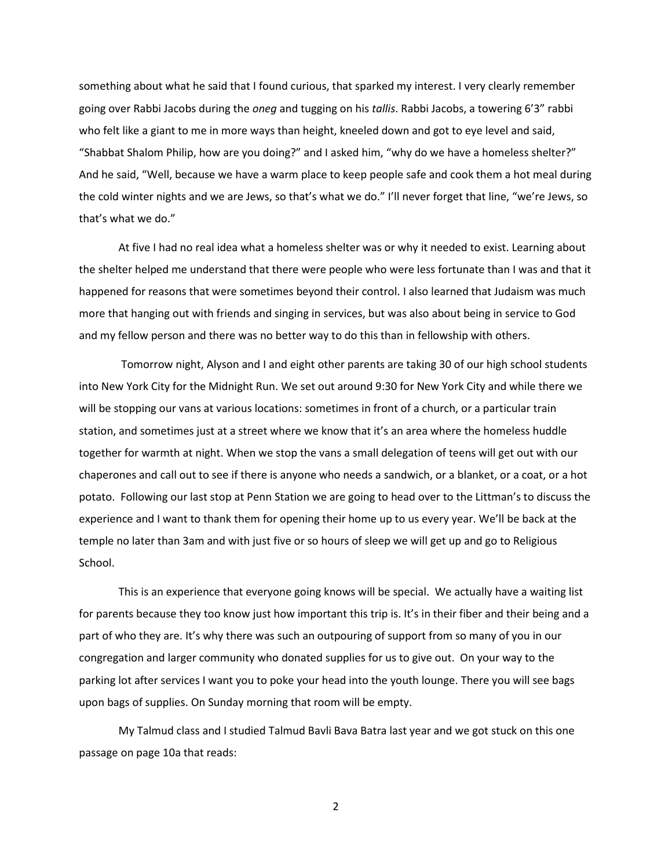something about what he said that I found curious, that sparked my interest. I very clearly remember going over Rabbi Jacobs during the *oneg* and tugging on his *tallis*. Rabbi Jacobs, a towering 6'3" rabbi who felt like a giant to me in more ways than height, kneeled down and got to eye level and said, "Shabbat Shalom Philip, how are you doing?" and I asked him, "why do we have a homeless shelter?" And he said, "Well, because we have a warm place to keep people safe and cook them a hot meal during the cold winter nights and we are Jews, so that's what we do." I'll never forget that line, "we're Jews, so that's what we do."

At five I had no real idea what a homeless shelter was or why it needed to exist. Learning about the shelter helped me understand that there were people who were less fortunate than I was and that it happened for reasons that were sometimes beyond their control. I also learned that Judaism was much more that hanging out with friends and singing in services, but was also about being in service to God and my fellow person and there was no better way to do this than in fellowship with others.

Tomorrow night, Alyson and I and eight other parents are taking 30 of our high school students into New York City for the Midnight Run. We set out around 9:30 for New York City and while there we will be stopping our vans at various locations: sometimes in front of a church, or a particular train station, and sometimes just at a street where we know that it's an area where the homeless huddle together for warmth at night. When we stop the vans a small delegation of teens will get out with our chaperones and call out to see if there is anyone who needs a sandwich, or a blanket, or a coat, or a hot potato. Following our last stop at Penn Station we are going to head over to the Littman's to discuss the experience and I want to thank them for opening their home up to us every year. We'll be back at the temple no later than 3am and with just five or so hours of sleep we will get up and go to Religious School.

This is an experience that everyone going knows will be special. We actually have a waiting list for parents because they too know just how important this trip is. It's in their fiber and their being and a part of who they are. It's why there was such an outpouring of support from so many of you in our congregation and larger community who donated supplies for us to give out. On your way to the parking lot after services I want you to poke your head into the youth lounge. There you will see bags upon bags of supplies. On Sunday morning that room will be empty.

My Talmud class and I studied Talmud Bavli Bava Batra last year and we got stuck on this one passage on page 10a that reads:

2